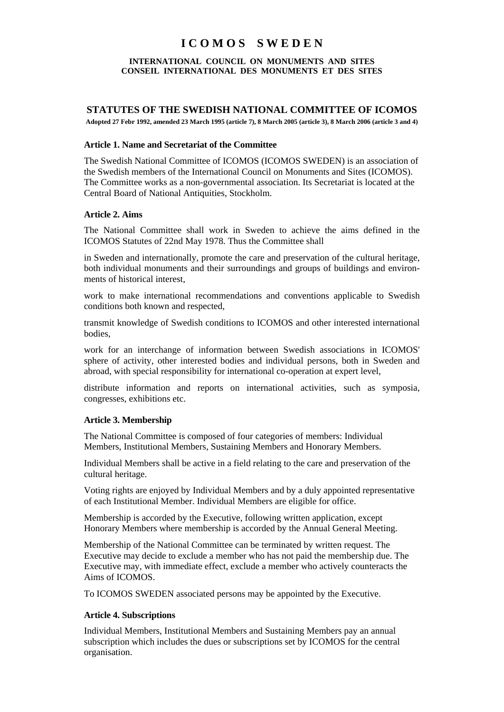# **I C O M O S S W E D E N**

#### **INTERNATIONAL COUNCIL ON MONUMENTS AND SITES CONSEIL INTERNATIONAL DES MONUMENTS ET DES SITES**

## **STATUTES OF THE SWEDISH NATIONAL COMMITTEE OF ICOMOS**

**Adopted 27 Febr 1992, amended 23 March 1995 (article 7), 8 March 2005 (article 3), 8 March 2006 (article 3 and 4)**

#### **Article 1. Name and Secretariat of the Committee**

The Swedish National Committee of ICOMOS (ICOMOS SWEDEN) is an association of the Swedish members of the International Council on Monuments and Sites (ICOMOS). The Committee works as a non-governmental association. Its Secretariat is located at the Central Board of National Antiquities, Stockholm.

#### **Article 2. Aims**

The National Committee shall work in Sweden to achieve the aims defined in the ICOMOS Statutes of 22nd May 1978. Thus the Committee shall

in Sweden and internationally, promote the care and preservation of the cultural heritage, both individual monuments and their surroundings and groups of buildings and environments of historical interest,

work to make international recommendations and conventions applicable to Swedish conditions both known and respected,

transmit knowledge of Swedish conditions to ICOMOS and other interested international bodies,

work for an interchange of information between Swedish associations in ICOMOS' sphere of activity, other interested bodies and individual persons, both in Sweden and abroad, with special responsibility for international co-operation at expert level,

distribute information and reports on international activities, such as symposia, congresses, exhibitions etc.

## **Article 3. Membership**

The National Committee is composed of four categories of members: Individual Members, Institutional Members, Sustaining Members and Honorary Members.

Individual Members shall be active in a field relating to the care and preservation of the cultural heritage.

Voting rights are enjoyed by Individual Members and by a duly appointed representative of each Institutional Member. Individual Members are eligible for office.

Membership is accorded by the Executive, following written application, except Honorary Members where membership is accorded by the Annual General Meeting.

Membership of the National Committee can be terminated by written request. The Executive may decide to exclude a member who has not paid the membership due. The Executive may, with immediate effect, exclude a member who actively counteracts the Aims of ICOMOS.

To ICOMOS SWEDEN associated persons may be appointed by the Executive.

## **Article 4. Subscriptions**

Individual Members, Institutional Members and Sustaining Members pay an annual subscription which includes the dues or subscriptions set by ICOMOS for the central organisation.